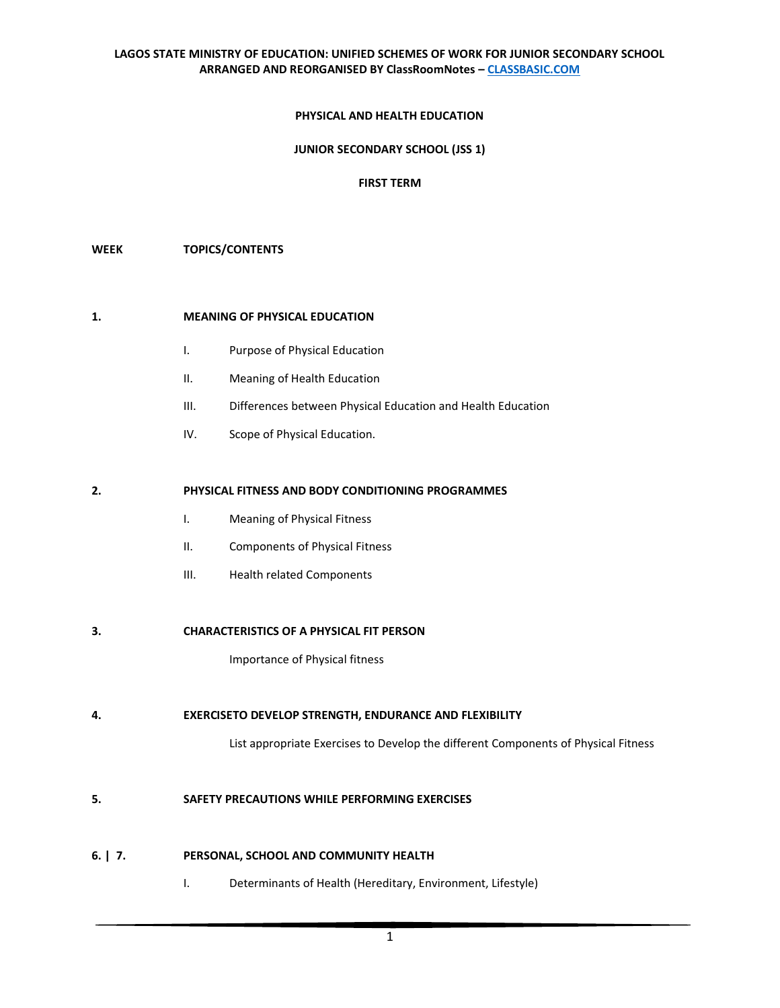## **PHYSICAL AND HEALTH EDUCATION**

### **JUNIOR SECONDARY SCHOOL (JSS 1)**

### **FIRST TERM**

#### **WEEK TOPICS/CONTENTS**

### **1. MEANING OF PHYSICAL EDUCATION**

- I. Purpose of Physical Education
- II. Meaning of Health Education
- III. Differences between Physical Education and Health Education
- IV. Scope of Physical Education.

#### **2. PHYSICAL FITNESS AND BODY CONDITIONING PROGRAMMES**

- I. Meaning of Physical Fitness
- II. Components of Physical Fitness
- III. Health related Components

#### **3. CHARACTERISTICS OF A PHYSICAL FIT PERSON**

Importance of Physical fitness

**4. EXERCISETO DEVELOP STRENGTH, ENDURANCE AND FLEXIBILITY**

List appropriate Exercises to Develop the different Components of Physical Fitness

## **5. SAFETY PRECAUTIONS WHILE PERFORMING EXERCISES**

### **6. | 7. PERSONAL, SCHOOL AND COMMUNITY HEALTH**

I. Determinants of Health (Hereditary, Environment, Lifestyle)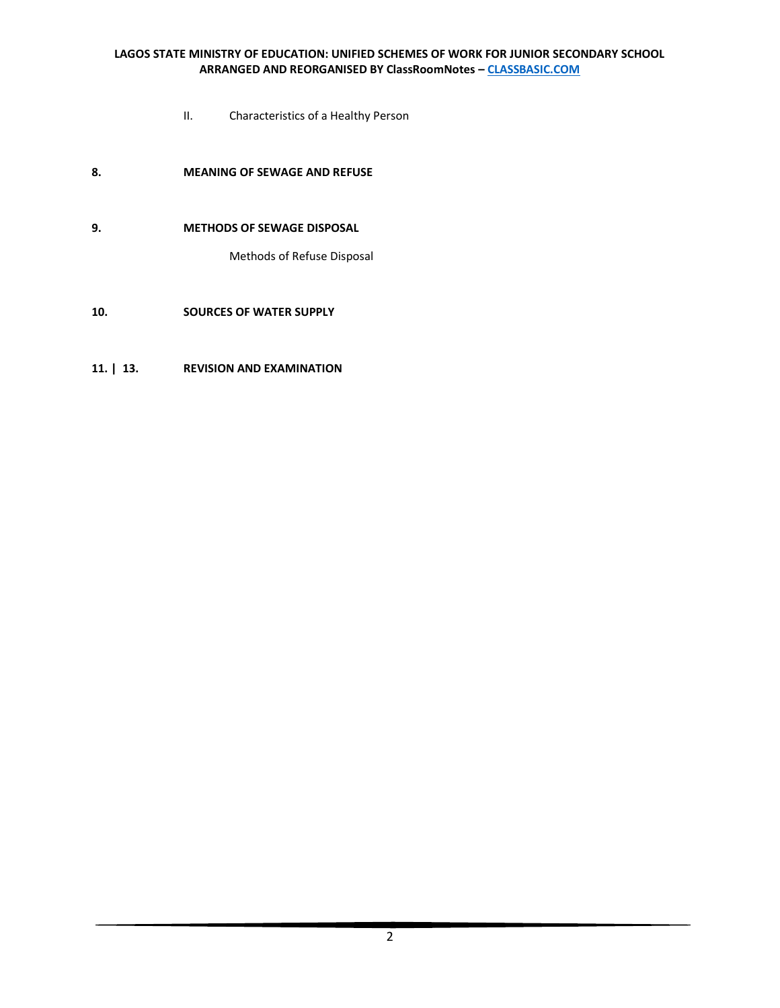- II. Characteristics of a Healthy Person
- **8. MEANING OF SEWAGE AND REFUSE**
- **9. METHODS OF SEWAGE DISPOSAL**

Methods of Refuse Disposal

# **10. SOURCES OF WATER SUPPLY**

# **11. | 13. REVISION AND EXAMINATION**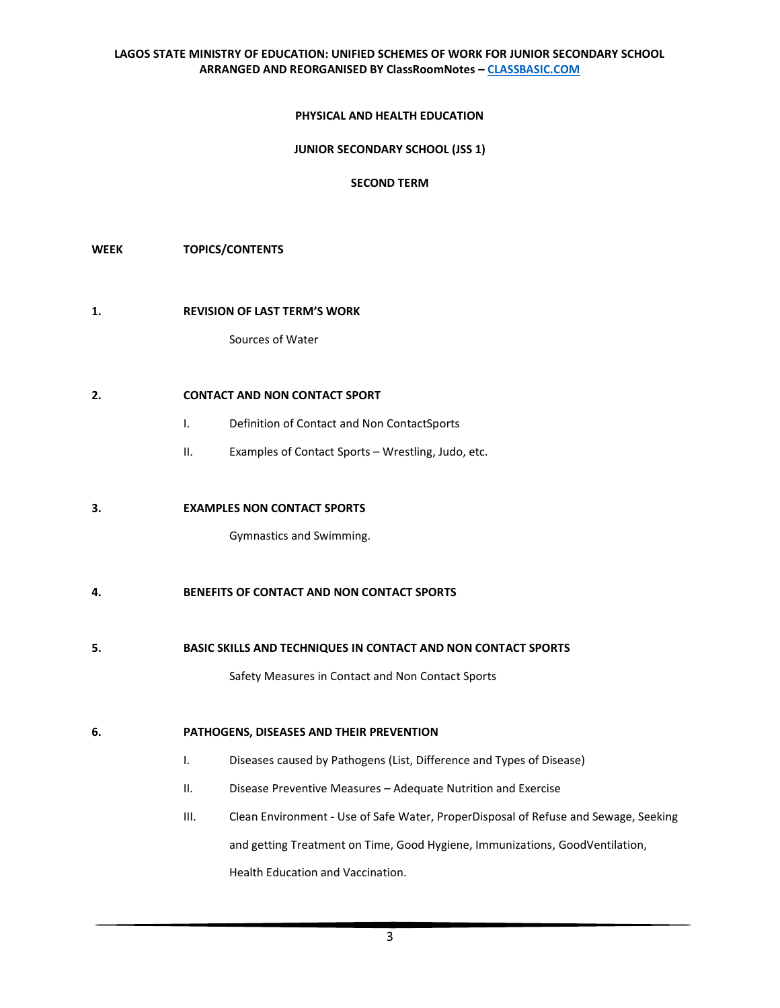#### **PHYSICAL AND HEALTH EDUCATION**

#### **JUNIOR SECONDARY SCHOOL (JSS 1)**

#### **SECOND TERM**

#### **WEEK TOPICS/CONTENTS**

#### **1. REVISION OF LAST TERM'S WORK**

Sources of Water

# **2. CONTACT AND NON CONTACT SPORT**

- I. Definition of Contact and Non ContactSports
- II. Examples of Contact Sports Wrestling, Judo, etc.

#### **3. EXAMPLES NON CONTACT SPORTS**

Gymnastics and Swimming.

# **4. BENEFITS OF CONTACT AND NON CONTACT SPORTS**

**5. BASIC SKILLS AND TECHNIQUES IN CONTACT AND NON CONTACT SPORTS** 

Safety Measures in Contact and Non Contact Sports

#### **6. PATHOGENS, DISEASES AND THEIR PREVENTION**

- I. Diseases caused by Pathogens (List, Difference and Types of Disease)
- II. Disease Preventive Measures Adequate Nutrition and Exercise
- III. Clean Environment Use of Safe Water, ProperDisposal of Refuse and Sewage, Seeking and getting Treatment on Time, Good Hygiene, Immunizations, GoodVentilation, Health Education and Vaccination.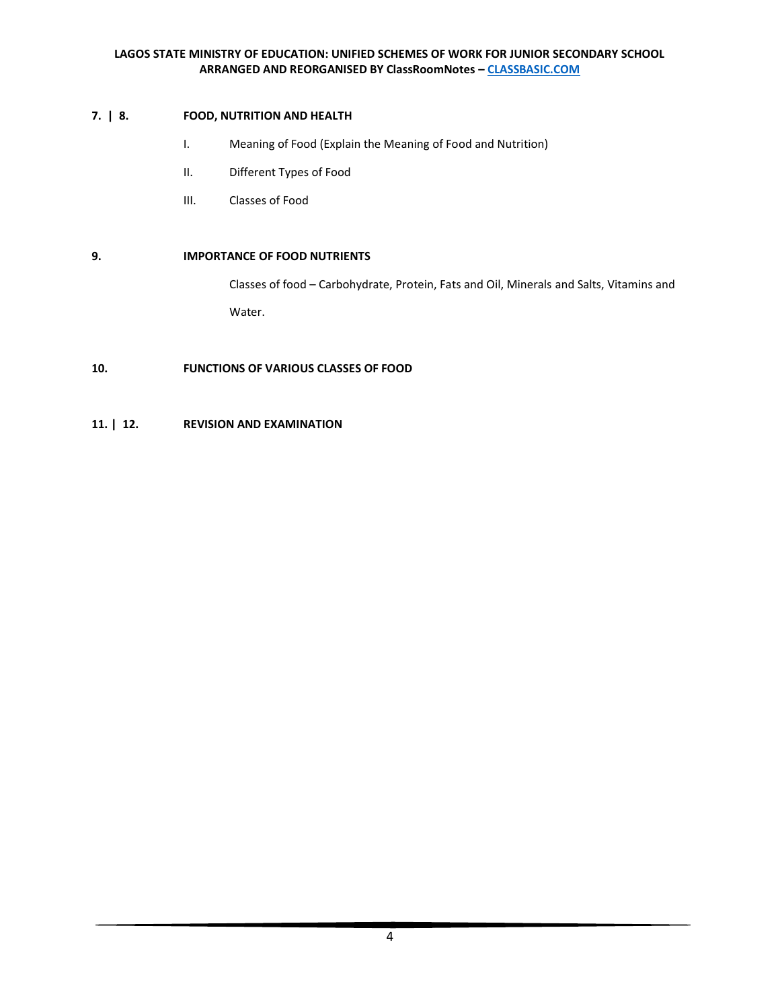# **7. | 8. FOOD, NUTRITION AND HEALTH**

- I. Meaning of Food (Explain the Meaning of Food and Nutrition)
- II. Different Types of Food
- III. Classes of Food

# **9. IMPORTANCE OF FOOD NUTRIENTS**

Classes of food – Carbohydrate, Protein, Fats and Oil, Minerals and Salts, Vitamins and Water.

**10. FUNCTIONS OF VARIOUS CLASSES OF FOOD**

# **11. | 12. REVISION AND EXAMINATION**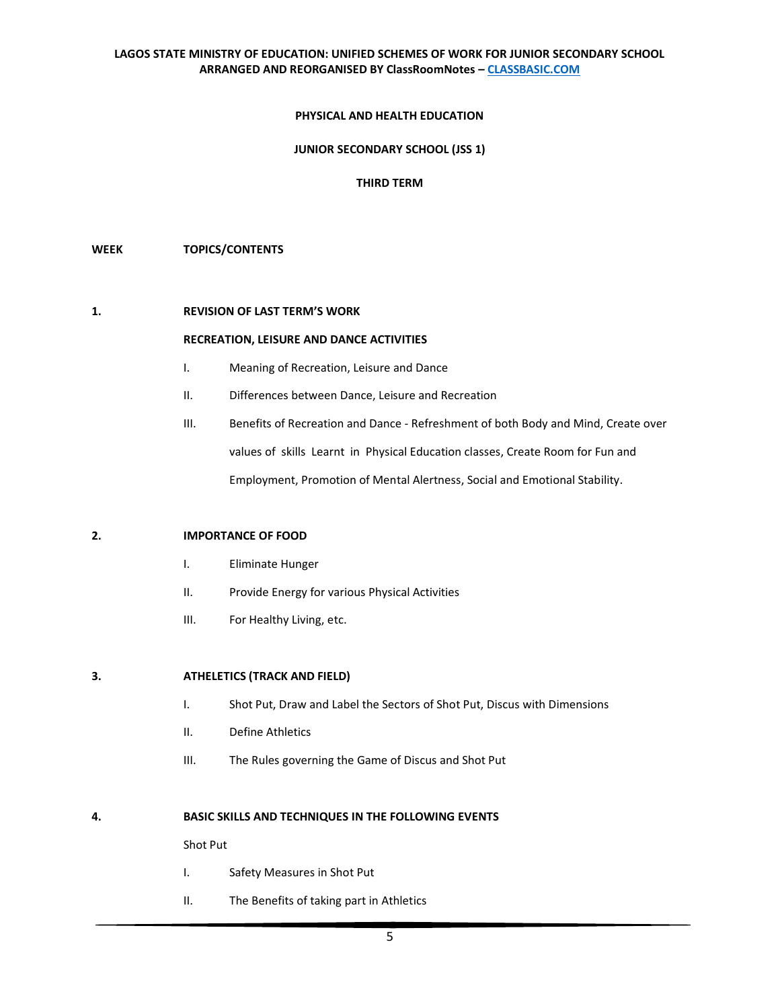#### **PHYSICAL AND HEALTH EDUCATION**

#### **JUNIOR SECONDARY SCHOOL (JSS 1)**

# **THIRD TERM**

#### **WEEK TOPICS/CONTENTS**

#### **1. REVISION OF LAST TERM'S WORK**

#### **RECREATION, LEISURE AND DANCE ACTIVITIES**

- I. Meaning of Recreation, Leisure and Dance
- II. Differences between Dance, Leisure and Recreation
- III. Benefits of Recreation and Dance Refreshment of both Body and Mind, Create over values of skills Learnt in Physical Education classes, Create Room for Fun and Employment, Promotion of Mental Alertness, Social and Emotional Stability.

#### **2. IMPORTANCE OF FOOD**

- I. Eliminate Hunger
- II. Provide Energy for various Physical Activities
- III. For Healthy Living, etc.

## **3. ATHELETICS (TRACK AND FIELD)**

- I. Shot Put, Draw and Label the Sectors of Shot Put, Discus with Dimensions
- II. Define Athletics
- III. The Rules governing the Game of Discus and Shot Put

#### **4. BASIC SKILLS AND TECHNIQUES IN THE FOLLOWING EVENTS**

Shot Put

- I. Safety Measures in Shot Put
- II. The Benefits of taking part in Athletics